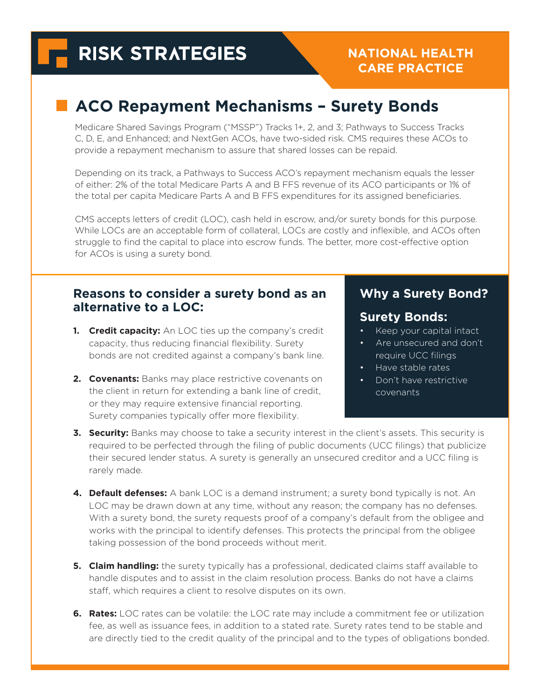# **RISK STRATEGIES**

#### **NATIONAL HEALTH CARE PRACTICE**

## **ACO Repayment Mechanisms – Surety Bonds**

Medicare Shared Savings Program ("MSSP") Tracks 1+, 2, and 3; Pathways to Success Tracks C, D, E, and Enhanced; and NextGen ACOs, have two-sided risk. CMS requires these ACOs to provide a repayment mechanism to assure that shared losses can be repaid.

Depending on its track, a Pathways to Success ACO's repayment mechanism equals the lesser of either: 2% of the total Medicare Parts A and B FFS revenue of its ACO participants or 1% of the total per capita Medicare Parts A and B FFS expenditures for its assigned beneficiaries.

CMS accepts letters of credit (LOC), cash held in escrow, and/or surety bonds for this purpose. While LOCs are an acceptable form of collateral, LOCs are costly and inflexible, and ACOs often struggle to find the capital to place into escrow funds. The better, more cost-effective option for ACOs is using a surety bond.

#### **Reasons to consider a surety bond as an alternative to a LOC:**

- **1. Credit capacity:** An LOC ties up the company's credit capacity, thus reducing financial flexibility. Surety bonds are not credited against a company's bank line.
- **2. Covenants:** Banks may place restrictive covenants on the client in return for extending a bank line of credit, or they may require extensive financial reporting. Surety companies typically offer more flexibility.

#### **Why a Surety Bond?**

#### **Surety Bonds:**

- Keep your capital intact
- Are unsecured and don't require UCC filings
- Have stable rates
- Don't have restrictive covenants
- **3. Security:** Banks may choose to take a security interest in the client's assets. This security is required to be perfected through the filing of public documents (UCC filings) that publicize their secured lender status. A surety is generally an unsecured creditor and a UCC filing is rarely made.
- **4. Default defenses:** A bank LOC is a demand instrument; a surety bond typically is not. An LOC may be drawn down at any time, without any reason; the company has no defenses. With a surety bond, the surety requests proof of a company's default from the obligee and works with the principal to identify defenses. This protects the principal from the obligee taking possession of the bond proceeds without merit.
- **5. Claim handling:** the surety typically has a professional, dedicated claims staff available to handle disputes and to assist in the claim resolution process. Banks do not have a claims staff, which requires a client to resolve disputes on its own.
- **6.** Rates: LOC rates can be volatile: the LOC rate may include a commitment fee or utilization fee, as well as issuance fees, in addition to a stated rate. Surety rates tend to be stable and are directly tied to the credit quality of the principal and to the types of obligations bonded.